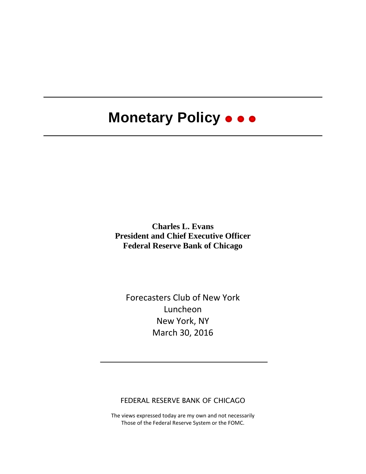# **Monetary Policy**

**Charles L. Evans President and Chief Executive Officer Federal Reserve Bank of Chicago**

Forecasters Club of New York Luncheon New York, NY March 30, 2016

FEDERAL RESERVE BANK OF CHICAGO

The views expressed today are my own and not necessarily Those of the Federal Reserve System or the FOMC.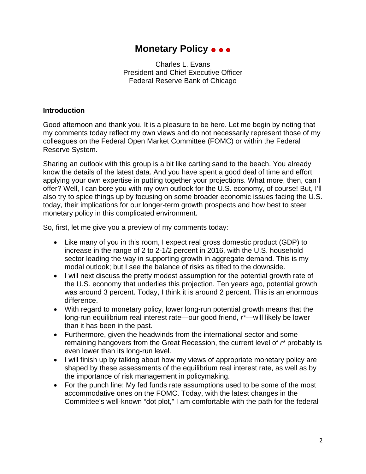### **Monetary Policy**

Charles L. Evans President and Chief Executive Officer Federal Reserve Bank of Chicago

#### **Introduction**

Good afternoon and thank you. It is a pleasure to be here. Let me begin by noting that my comments today reflect my own views and do not necessarily represent those of my colleagues on the Federal Open Market Committee (FOMC) or within the Federal Reserve System.

Sharing an outlook with this group is a bit like carting sand to the beach. You already know the details of the latest data. And you have spent a good deal of time and effort applying your own expertise in putting together your projections. What more, then, can I offer? Well, I can bore you with my own outlook for the U.S. economy, of course! But, I'll also try to spice things up by focusing on some broader economic issues facing the U.S. today, their implications for our longer-term growth prospects and how best to steer monetary policy in this complicated environment.

So, first, let me give you a preview of my comments today:

- Like many of you in this room, I expect real gross domestic product (GDP) to increase in the range of 2 to 2-1/2 percent in 2016, with the U.S. household sector leading the way in supporting growth in aggregate demand. This is my modal outlook; but I see the balance of risks as tilted to the downside.
- I will next discuss the pretty modest assumption for the potential growth rate of the U.S. economy that underlies this projection. Ten years ago, potential growth was around 3 percent. Today, I think it is around 2 percent. This is an enormous difference.
- With regard to monetary policy, lower long-run potential growth means that the long-run equilibrium real interest rate—our good friend, *r\**—will likely be lower than it has been in the past.
- Furthermore, given the headwinds from the international sector and some remaining hangovers from the Great Recession, the current level of *r\** probably is even lower than its long-run level.
- I will finish up by talking about how my views of appropriate monetary policy are shaped by these assessments of the equilibrium real interest rate, as well as by the importance of risk management in policymaking.
- For the punch line: My fed funds rate assumptions used to be some of the most accommodative ones on the FOMC. Today, with the latest changes in the Committee's well-known "dot plot," I am comfortable with the path for the federal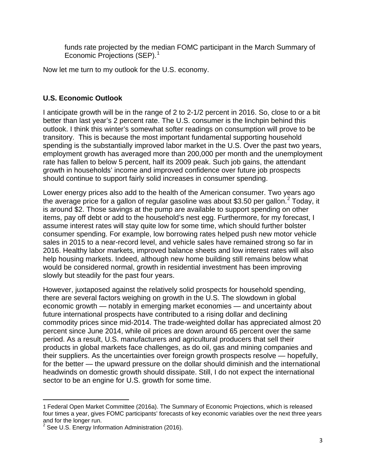funds rate projected by the median FOMC participant in the March Summary of Economic Projections (SEP). [1](#page-2-0)

Now let me turn to my outlook for the U.S. economy.

#### **U.S. Economic Outlook**

I anticipate growth will be in the range of 2 to 2-1/2 percent in 2016. So, close to or a bit better than last year's 2 percent rate. The U.S. consumer is the linchpin behind this outlook. I think this winter's somewhat softer readings on consumption will prove to be transitory. This is because the most important fundamental supporting household spending is the substantially improved labor market in the U.S. Over the past two years, employment growth has averaged more than 200,000 per month and the unemployment rate has fallen to below 5 percent, half its 2009 peak. Such job gains, the attendant growth in households' income and improved confidence over future job prospects should continue to support fairly solid increases in consumer spending.

Lower energy prices also add to the health of the American consumer. Two years ago the average price for a gallon of regular gasoline was about \$3.50 per gallon.<sup>[2](#page-2-1)</sup> Today, it is around \$2. Those savings at the pump are available to support spending on other items, pay off debt or add to the household's nest egg. Furthermore, for my forecast, I assume interest rates will stay quite low for some time, which should further bolster consumer spending. For example, low borrowing rates helped push new motor vehicle sales in 2015 to a near-record level, and vehicle sales have remained strong so far in 2016. Healthy labor markets, improved balance sheets and low interest rates will also help housing markets. Indeed, although new home building still remains below what would be considered normal, growth in residential investment has been improving slowly but steadily for the past four years.

However, juxtaposed against the relatively solid prospects for household spending, there are several factors weighing on growth in the U.S. The slowdown in global economic growth — notably in emerging market economies — and uncertainty about future international prospects have contributed to a rising dollar and declining commodity prices since mid-2014. The trade-weighted dollar has appreciated almost 20 percent since June 2014, while oil prices are down around 65 percent over the same period. As a result, U.S. manufacturers and agricultural producers that sell their products in global markets face challenges, as do oil, gas and mining companies and their suppliers. As the uncertainties over foreign growth prospects resolve — hopefully, for the better — the upward pressure on the dollar should diminish and the international headwinds on domestic growth should dissipate. Still, I do not expect the international sector to be an engine for U.S. growth for some time.

<span id="page-2-0"></span> $\overline{\phantom{a}}$ 1 Federal Open Market Committee (2016a). The Summary of Economic Projections, which is released four times a year, gives FOMC participants' forecasts of key economic variables over the next three years and for the longer run.

<span id="page-2-1"></span> $2$  See U.S. Energy Information Administration (2016).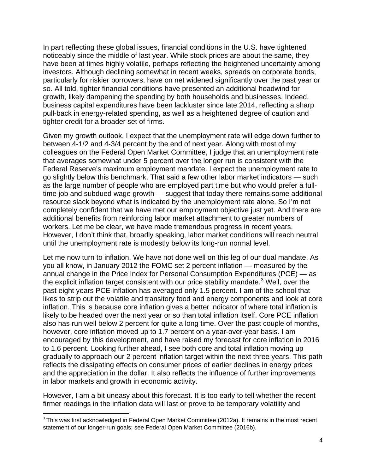In part reflecting these global issues, financial conditions in the U.S. have tightened noticeably since the middle of last year. While stock prices are about the same, they have been at times highly volatile, perhaps reflecting the heightened uncertainty among investors. Although declining somewhat in recent weeks, spreads on corporate bonds, particularly for riskier borrowers, have on net widened significantly over the past year or so. All told, tighter financial conditions have presented an additional headwind for growth, likely dampening the spending by both households and businesses. Indeed, business capital expenditures have been lackluster since late 2014, reflecting a sharp pull-back in energy-related spending, as well as a heightened degree of caution and tighter credit for a broader set of firms.

Given my growth outlook, I expect that the unemployment rate will edge down further to between 4-1/2 and 4-3/4 percent by the end of next year. Along with most of my colleagues on the Federal Open Market Committee, I judge that an unemployment rate that averages somewhat under 5 percent over the longer run is consistent with the Federal Reserve's maximum employment mandate. I expect the unemployment rate to go slightly below this benchmark. That said a few other labor market indicators — such as the large number of people who are employed part time but who would prefer a fulltime job and subdued wage growth — suggest that today there remains some additional resource slack beyond what is indicated by the unemployment rate alone. So I'm not completely confident that we have met our employment objective just yet. And there are additional benefits from reinforcing labor market attachment to greater numbers of workers. Let me be clear, we have made tremendous progress in recent years. However, I don't think that, broadly speaking, labor market conditions will reach neutral until the unemployment rate is modestly below its long-run normal level.

Let me now turn to inflation. We have not done well on this leg of our dual mandate. As you all know, in January 2012 the FOMC set 2 percent inflation — measured by the annual change in the Price Index for Personal Consumption Expenditures (PCE) — as the explicit inflation target consistent with our price stability mandate.<sup>[3](#page-3-0)</sup> Well, over the past eight years PCE inflation has averaged only 1.5 percent. I am of the school that likes to strip out the volatile and transitory food and energy components and look at core inflation. This is because core inflation gives a better indicator of where total inflation is likely to be headed over the next year or so than total inflation itself. Core PCE inflation also has run well below 2 percent for quite a long time. Over the past couple of months, however, core inflation moved up to 1.7 percent on a year-over-year basis. I am encouraged by this development, and have raised my forecast for core inflation in 2016 to 1.6 percent. Looking further ahead, I see both core and total inflation moving up gradually to approach our 2 percent inflation target within the next three years. This path reflects the dissipating effects on consumer prices of earlier declines in energy prices and the appreciation in the dollar. It also reflects the influence of further improvements in labor markets and growth in economic activity.

However, I am a bit uneasy about this forecast. It is too early to tell whether the recent firmer readings in the inflation data will last or prove to be temporary volatility and

<span id="page-3-0"></span><sup>&</sup>lt;sup>3</sup> This was first acknowledged in Federal Open Market Committee (2012a). It remains in the most recent statement of our longer-run goals; see Federal Open Market Committee (2016b).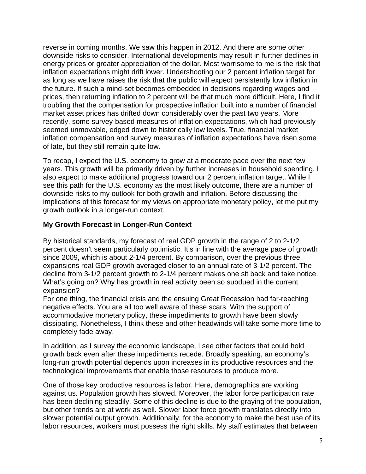reverse in coming months. We saw this happen in 2012. And there are some other downside risks to consider. International developments may result in further declines in energy prices or greater appreciation of the dollar. Most worrisome to me is the risk that inflation expectations might drift lower. Undershooting our 2 percent inflation target for as long as we have raises the risk that the public will expect persistently low inflation in the future. If such a mind-set becomes embedded in decisions regarding wages and prices, then returning inflation to 2 percent will be that much more difficult. Here, I find it troubling that the compensation for prospective inflation built into a number of financial market asset prices has drifted down considerably over the past two years. More recently, some survey-based measures of inflation expectations, which had previously seemed unmovable, edged down to historically low levels. True, financial market inflation compensation and survey measures of inflation expectations have risen some of late, but they still remain quite low.

To recap, I expect the U.S. economy to grow at a moderate pace over the next few years. This growth will be primarily driven by further increases in household spending. I also expect to make additional progress toward our 2 percent inflation target. While I see this path for the U.S. economy as the most likely outcome, there are a number of downside risks to my outlook for both growth and inflation. Before discussing the implications of this forecast for my views on appropriate monetary policy, let me put my growth outlook in a longer-run context.

#### **My Growth Forecast in Longer-Run Context**

By historical standards, my forecast of real GDP growth in the range of 2 to 2-1/2 percent doesn't seem particularly optimistic. It's in line with the average pace of growth since 2009, which is about 2-1/4 percent. By comparison, over the previous three expansions real GDP growth averaged closer to an annual rate of 3-1/2 percent. The decline from 3-1/2 percent growth to 2-1/4 percent makes one sit back and take notice. What's going on? Why has growth in real activity been so subdued in the current expansion?

For one thing, the financial crisis and the ensuing Great Recession had far-reaching negative effects. You are all too well aware of these scars. With the support of accommodative monetary policy, these impediments to growth have been slowly dissipating. Nonetheless, I think these and other headwinds will take some more time to completely fade away.

In addition, as I survey the economic landscape, I see other factors that could hold growth back even after these impediments recede. Broadly speaking, an economy's long-run growth potential depends upon increases in its productive resources and the technological improvements that enable those resources to produce more.

One of those key productive resources is labor. Here, demographics are working against us. Population growth has slowed. Moreover, the labor force participation rate has been declining steadily. Some of this decline is due to the graying of the population, but other trends are at work as well. Slower labor force growth translates directly into slower potential output growth. Additionally, for the economy to make the best use of its labor resources, workers must possess the right skills. My staff estimates that between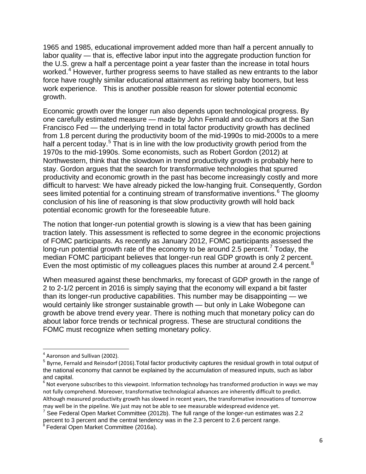1965 and 1985, educational improvement added more than half a percent annually to labor quality — that is, effective labor input into the aggregate production function for the U.S. grew a half a percentage point a year faster than the increase in total hours worked.<sup>[4](#page-5-0)</sup> However, further progress seems to have stalled as new entrants to the labor force have roughly similar educational attainment as retiring baby boomers, but less work experience. This is another possible reason for slower potential economic growth.

Economic growth over the longer run also depends upon technological progress. By one carefully estimated measure — made by John Fernald and co-authors at the San Francisco Fed — the underlying trend in total factor productivity growth has declined from 1.8 percent during the productivity boom of the mid-1990s to mid-2000s to a mere half a percent today.<sup>[5](#page-5-1)</sup> That is in line with the low productivity growth period from the 1970s to the mid-1990s. Some economists, such as Robert Gordon (2012) at Northwestern, think that the slowdown in trend productivity growth is probably here to stay. Gordon argues that the search for transformative technologies that spurred productivity and economic growth in the past has become increasingly costly and more difficult to harvest: We have already picked the low-hanging fruit. Consequently, Gordon sees limited potential for a continuing stream of transformative inventions.<sup>[6](#page-5-2)</sup> The gloomy conclusion of his line of reasoning is that slow productivity growth will hold back potential economic growth for the foreseeable future.

The notion that longer-run potential growth is slowing is a view that has been gaining traction lately. This assessment is reflected to some degree in the economic projections of FOMC participants. As recently as January 2012, FOMC participants assessed the long-run potential growth rate of the economy to be around 2.5 percent.<sup>[7](#page-5-3)</sup> Today, the median FOMC participant believes that longer-run real GDP growth is only 2 percent. Even the most optimistic of my colleagues places this number at around 2.4 percent.<sup>[8](#page-5-4)</sup>

When measured against these benchmarks, my forecast of GDP growth in the range of 2 to 2-1/2 percent in 2016 is simply saying that the economy will expand a bit faster than its longer-run productive capabilities. This number may be disappointing — we would certainly like stronger sustainable growth — but only in Lake Wobegone can growth be above trend every year. There is nothing much that monetary policy can do about labor force trends or technical progress. These are structural conditions the FOMC must recognize when setting monetary policy.

<span id="page-5-0"></span> <sup>4</sup> Aaronson and Sullivan (2002).

<span id="page-5-1"></span><sup>5</sup> Byrne, Fernald and Reinsdorf (2016).Total factor productivity captures the residual growth in total output of the national economy that cannot be explained by the accumulation of measured inputs, such as labor and capital.

<span id="page-5-2"></span><sup>&</sup>lt;sup>6</sup> Not everyone subscribes to this viewpoint. Information technology has transformed production in ways we may not fully comprehend. Moreover, transformative technological advances are inherently difficult to predict. Although measured productivity growth has slowed in recent years, the transformative innovations of tomorrow may well be in the pipeline. We just may not be able to see measurable widespread evidence yet.<br><sup>7</sup> See Federal Open Market Committee (2012b). The full range of the longer-run estimates was 2.2

<span id="page-5-3"></span>percent to 3 percent and the central tendency was in the 2.3 percent to 2.6 percent range.

<span id="page-5-4"></span><sup>&</sup>lt;sup>8</sup> Federal Open Market Committee (2016a).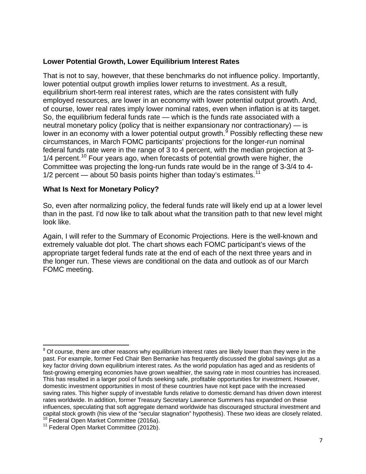#### **Lower Potential Growth, Lower Equilibrium Interest Rates**

That is not to say, however, that these benchmarks do not influence policy. Importantly, lower potential output growth implies lower returns to investment. As a result, equilibrium short-term real interest rates, which are the rates consistent with fully employed resources, are lower in an economy with lower potential output growth. And, of course, lower real rates imply lower nominal rates, even when inflation is at its target. So, the equilibrium federal funds rate — which is the funds rate associated with a neutral monetary policy (policy that is neither expansionary nor contractionary) — is lower in an economy with a lower potential output growth.<sup>[9](#page-6-0)</sup> Possibly reflecting these new circumstances, in March FOMC participants' projections for the longer-run nominal federal funds rate were in the range of 3 to 4 percent, with the median projection at 3-  $1/4$  percent.<sup>[10](#page-6-1)</sup> Four years ago, when forecasts of potential growth were higher, the Committee was projecting the long-run funds rate would be in the range of 3-3/4 to 4- 1/2 percent — about 50 basis points higher than today's estimates.<sup>[11](#page-6-2)</sup>

#### **What Is Next for Monetary Policy?**

So, even after normalizing policy, the federal funds rate will likely end up at a lower level than in the past. I'd now like to talk about what the transition path to that new level might look like.

Again, I will refer to the Summary of Economic Projections. Here is the well-known and extremely valuable dot plot. The chart shows each FOMC participant's views of the appropriate target federal funds rate at the end of each of the next three years and in the longer run. These views are conditional on the data and outlook as of our March FOMC meeting.

<span id="page-6-0"></span> $9$  Of course, there are other reasons why equilibrium interest rates are likely lower than they were in the past. For example, former Fed Chair Ben Bernanke has frequently discussed the global savings glut as a key factor driving down equilibrium interest rates. As the world population has aged and as residents of fast-growing emerging economies have grown wealthier, the saving rate in most countries has increased. This has resulted in a larger pool of funds seeking safe, profitable opportunities for investment. However, domestic investment opportunities in most of these countries have not kept pace with the increased saving rates. This higher supply of investable funds relative to domestic demand has driven down interest rates worldwide. In addition, former Treasury Secretary Lawrence Summers has expanded on these influences, speculating that soft aggregate demand worldwide has discouraged structural investment and capital stock growth (his view of the "secular stagnation" hypothesis). These two ideas are closely related.<br><sup>10</sup> Federal Open Market Committee (2016a).<br><sup>11</sup> Federal Open Market Committee (2012b).

<span id="page-6-2"></span><span id="page-6-1"></span>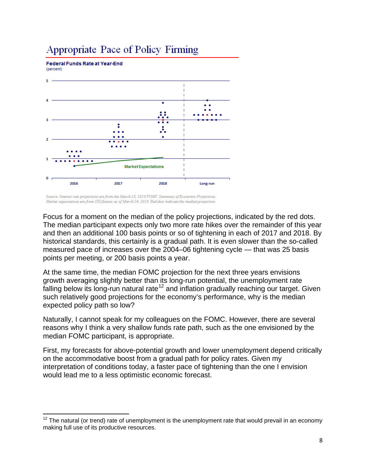## Appropriate Pace of Policy Firming

**Federal Funds Rate at Year-End**  $(percent)$ 



Source: Interest rate projections are from the March 16, 2016 FOMC Summary of Economic Projections. .<br>Market expectations are from OIS futures as of March 24, 2016. Red dots indicate the median projection.

Focus for a moment on the median of the policy projections, indicated by the red dots. The median participant expects only two more rate hikes over the remainder of this year and then an additional 100 basis points or so of tightening in each of 2017 and 2018. By historical standards, this certainly is a gradual path. It is even slower than the so-called measured pace of increases over the 2004–06 tightening cycle — that was 25 basis points per meeting, or 200 basis points a year.

At the same time, the median FOMC projection for the next three years envisions growth averaging slightly better than its long-run potential, the unemployment rate falling below its long-run natural rate<sup>[12](#page-7-0)</sup> and inflation gradually reaching our target. Given such relatively good projections for the economy's performance, why is the median expected policy path so low?

Naturally, I cannot speak for my colleagues on the FOMC. However, there are several reasons why I think a very shallow funds rate path, such as the one envisioned by the median FOMC participant, is appropriate.

First, my forecasts for above-potential growth and lower unemployment depend critically on the accommodative boost from a gradual path for policy rates. Given my interpretation of conditions today, a faster pace of tightening than the one I envision would lead me to a less optimistic economic forecast.

<span id="page-7-0"></span> $12$  The natural (or trend) rate of unemployment is the unemployment rate that would prevail in an economy making full use of its productive resources.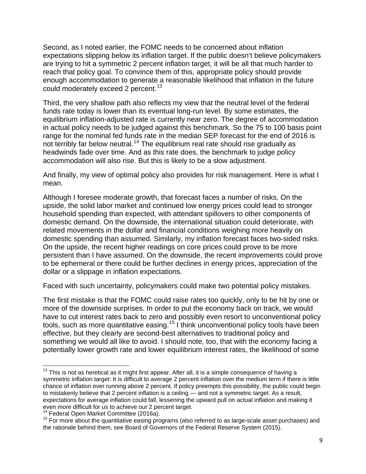Second, as I noted earlier, the FOMC needs to be concerned about inflation expectations slipping below its inflation target. If the public doesn't believe policymakers are trying to hit a symmetric 2 percent inflation target, it will be all that much harder to reach that policy goal. To convince them of this, appropriate policy should provide enough accommodation to generate a reasonable likelihood that inflation in the future could moderately exceed 2 percent.<sup>[13](#page-8-0)</sup>

Third, the very shallow path also reflects my view that the neutral level of the federal funds rate today is lower than its eventual long-run level. By some estimates, the equilibrium inflation-adjusted rate is currently near zero. The degree of accommodation in actual policy needs to be judged against this benchmark. So the 75 to 100 basis point range for the nominal fed funds rate in the median SEP forecast for the end of 2016 is not terribly far below neutral.<sup>[14](#page-8-1)</sup> The equilibrium real rate should rise gradually as headwinds fade over time. And as this rate does, the benchmark to judge policy accommodation will also rise. But this is likely to be a slow adjustment.

And finally, my view of optimal policy also provides for risk management. Here is what I mean.

Although I foresee moderate growth, that forecast faces a number of risks. On the upside, the solid labor market and continued low energy prices could lead to stronger household spending than expected, with attendant spillovers to other components of domestic demand. On the downside, the international situation could deteriorate, with related movements in the dollar and financial conditions weighing more heavily on domestic spending than assumed. Similarly, my inflation forecast faces two-sided risks. On the upside, the recent higher readings on core prices could prove to be more persistent than I have assumed. On the downside, the recent improvements could prove to be ephemeral or there could be further declines in energy prices, appreciation of the dollar or a slippage in inflation expectations.

Faced with such uncertainty, policymakers could make two potential policy mistakes.

The first mistake is that the FOMC could raise rates too quickly, only to be hit by one or more of the downside surprises. In order to put the economy back on track, we would have to cut interest rates back to zero and possibly even resort to unconventional policy tools, such as more quantitative easing.<sup>[15](#page-8-2)</sup> I think unconventional policy tools have been effective, but they clearly are second-best alternatives to traditional policy and something we would all like to avoid. I should note, too, that with the economy facing a potentially lower growth rate and lower equilibrium interest rates, the likelihood of some

<span id="page-8-0"></span> $13$  This is not as heretical as it might first appear. After all, it is a simple consequence of having a symmetric inflation target: It is difficult to average 2 percent inflation over the medium term if there is little chance of inflation ever running above 2 percent. If policy preempts this possibility, the public could begin to mistakenly believe that 2 percent inflation is a ceiling — and not a symmetric target. As a result, expectations for average inflation could fall, lessening the upward pull on actual inflation and making it even more difficult for us to achieve our 2 percent target.<br><sup>14</sup> Federal Open Market Committee (2016a).

<span id="page-8-2"></span><span id="page-8-1"></span> $15$  For more about the quantitative easing programs (also referred to as large-scale asset purchases) and the rationale behind them, see Board of Governors of the Federal Reserve System (2015).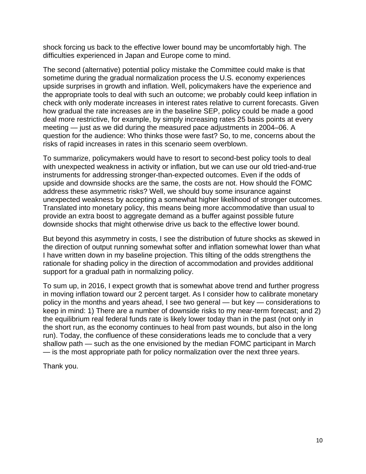shock forcing us back to the effective lower bound may be uncomfortably high. The difficulties experienced in Japan and Europe come to mind.

The second (alternative) potential policy mistake the Committee could make is that sometime during the gradual normalization process the U.S. economy experiences upside surprises in growth and inflation. Well, policymakers have the experience and the appropriate tools to deal with such an outcome; we probably could keep inflation in check with only moderate increases in interest rates relative to current forecasts. Given how gradual the rate increases are in the baseline SEP, policy could be made a good deal more restrictive, for example, by simply increasing rates 25 basis points at every meeting — just as we did during the measured pace adjustments in 2004–06. A question for the audience: Who thinks those were fast? So, to me, concerns about the risks of rapid increases in rates in this scenario seem overblown.

To summarize, policymakers would have to resort to second-best policy tools to deal with unexpected weakness in activity or inflation, but we can use our old tried-and-true instruments for addressing stronger-than-expected outcomes. Even if the odds of upside and downside shocks are the same, the costs are not. How should the FOMC address these asymmetric risks? Well, we should buy some insurance against unexpected weakness by accepting a somewhat higher likelihood of stronger outcomes. Translated into monetary policy, this means being more accommodative than usual to provide an extra boost to aggregate demand as a buffer against possible future downside shocks that might otherwise drive us back to the effective lower bound.

But beyond this asymmetry in costs, I see the distribution of future shocks as skewed in the direction of output running somewhat softer and inflation somewhat lower than what I have written down in my baseline projection. This tilting of the odds strengthens the rationale for shading policy in the direction of accommodation and provides additional support for a gradual path in normalizing policy.

To sum up, in 2016, I expect growth that is somewhat above trend and further progress in moving inflation toward our 2 percent target. As I consider how to calibrate monetary policy in the months and years ahead, I see two general — but key — considerations to keep in mind: 1) There are a number of downside risks to my near-term forecast; and 2) the equilibrium real federal funds rate is likely lower today than in the past (not only in the short run, as the economy continues to heal from past wounds, but also in the long run). Today, the confluence of these considerations leads me to conclude that a very shallow path — such as the one envisioned by the median FOMC participant in March — is the most appropriate path for policy normalization over the next three years.

Thank you.